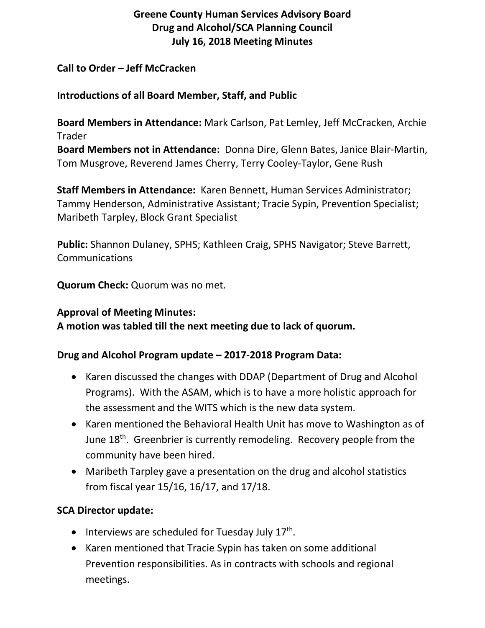# **Greene County Human Services Advisory Board Drug and Alcohol/SCA Planning Council July 16, 2018 Meeting Minutes**

#### **Call to Order – Jeff McCracken**

#### **Introductions of all Board Member, Staff, and Public**

**Board Members in Attendance:** Mark Carlson, Pat Lemley, Jeff McCracken, Archie Trader **Board Members not in Attendance:** Donna Dire, Glenn Bates, Janice Blair-Martin, Tom Musgrove, Reverend James Cherry, Terry Cooley-Taylor, Gene Rush

**Staff Members in Attendance:** Karen Bennett, Human Services Administrator; Tammy Henderson, Administrative Assistant; Tracie Sypin, Prevention Specialist; Maribeth Tarpley, Block Grant Specialist

**Public:** Shannon Dulaney, SPHS; Kathleen Craig, SPHS Navigator; Steve Barrett, Communications

**Quorum Check:** Quorum was no met.

# **Approval of Meeting Minutes:**

**A motion was tabled till the next meeting due to lack of quorum.**

## **Drug and Alcohol Program update – 2017-2018 Program Data:**

- Karen discussed the changes with DDAP (Department of Drug and Alcohol Programs). With the ASAM, which is to have a more holistic approach for the assessment and the WITS which is the new data system.
- Karen mentioned the Behavioral Health Unit has move to Washington as of June 18<sup>th</sup>. Greenbrier is currently remodeling. Recovery people from the community have been hired.
- Maribeth Tarpley gave a presentation on the drug and alcohol statistics from fiscal year 15/16, 16/17, and 17/18.

## **SCA Director update:**

- Interviews are scheduled for Tuesday July  $17<sup>th</sup>$ .
- Karen mentioned that Tracie Sypin has taken on some additional Prevention responsibilities. As in contracts with schools and regional meetings.